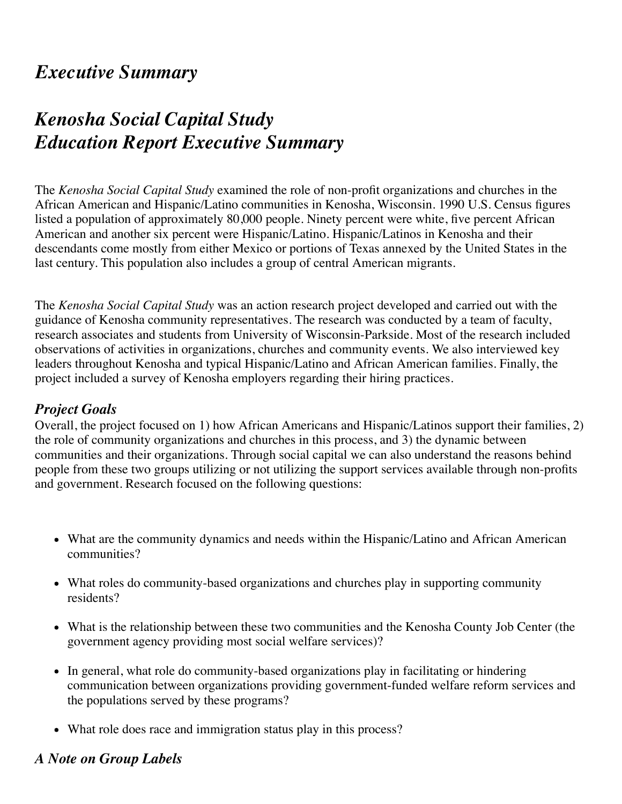# *[Execut](http://www.statcounter.com/)ive Summary*

# *Kenosha Social Capital Study Education Report Executive Summary*

The *Kenosha Social Capital Study* examined the role of non-profit organizations and churches in the African American and Hispanic/Latino communities in Kenosha, Wisconsin. 1990 U.S. Census figures listed a population of approximately 80,000 people. Ninety percent were white, five percent African American and another six percent were Hispanic/Latino. Hispanic/Latinos in Kenosha and their descendants come mostly from either Mexico or portions of Texas annexed by the United States in the last century. This population also includes a group of central American migrants.

The *Kenosha Social Capital Study* was an action research project developed and carried out with the guidance of Kenosha community representatives. The research was conducted by a team of faculty, research associates and students from University of Wisconsin-Parkside. Most of the research included observations of activities in organizations, churches and community events. We also interviewed key leaders throughout Kenosha and typical Hispanic/Latino and African American families. Finally, the project included a survey of Kenosha employers regarding their hiring practices.

## *Project Goals*

Overall, the project focused on 1) how African Americans and Hispanic/Latinos support their families, 2) the role of community organizations and churches in this process, and 3) the dynamic between communities and their organizations. Through social capital we can also understand the reasons behind people from these two groups utilizing or not utilizing the support services available through non-profits and government. Research focused on the following questions:

- What are the community dynamics and needs within the Hispanic/Latino and African American communities?
- What roles do community-based organizations and churches play in supporting community residents?
- What is the relationship between these two communities and the Kenosha County Job Center (the government agency providing most social welfare services)?
- In general, what role do community-based organizations play in facilitating or hindering communication between organizations providing government-funded welfare reform services and the populations served by these programs?
- What role does race and immigration status play in this process?

## *A Note on Group Labels*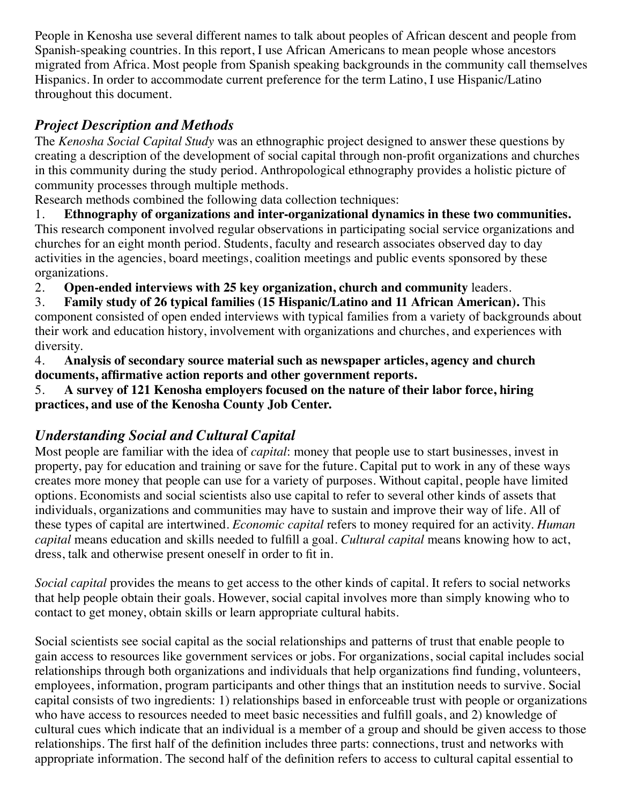People in Kenosha use several different names to talk about peoples of African descent and people from Spanish-speaking countries. In this report, I use African Americans to mean people whose ancestors migrated from Africa. Most people from Spanish speaking backgrounds in the community call themselves Hispanics. In order to accommodate current preference for the term Latino, I use Hispanic/Latino throughout this document.

# *Project Description and Methods*

The *Kenosha Social Capital Study* was an ethnographic project designed to answer these questions by creating a description of the development of social capital through non-profit organizations and churches in this community during the study period. Anthropological ethnography provides a holistic picture of community processes through multiple methods.

Research methods combined the following data collection techniques:

1. **Ethnography of organizations and inter-organizational dynamics in these two communities.** This research component involved regular observations in participating social service organizations and churches for an eight month period. Students, faculty and research associates observed day to day activities in the agencies, board meetings, coalition meetings and public events sponsored by these organizations.

2. **Open-ended interviews with 25 key organization, church and community** leaders.

3. **Family study of 26 typical families (15 Hispanic/Latino and 11 African American).** This component consisted of open ended interviews with typical families from a variety of backgrounds about their work and education history, involvement with organizations and churches, and experiences with diversity.

4. **Analysis of secondary source material such as newspaper articles, agency and church documents, affirmative action reports and other government reports.**

5. **A survey of 121 Kenosha employers focused on the nature of their labor force, hiring practices, and use of the Kenosha County Job Center.**

# *Understanding Social and Cultural Capital*

Most people are familiar with the idea of *capital*: money that people use to start businesses, invest in property, pay for education and training or save for the future. Capital put to work in any of these ways creates more money that people can use for a variety of purposes. Without capital, people have limited options. Economists and social scientists also use capital to refer to several other kinds of assets that individuals, organizations and communities may have to sustain and improve their way of life. All of these types of capital are intertwined. *Economic capital* refers to money required for an activity. *Human capital* means education and skills needed to fulfill a goal. *Cultural capital* means knowing how to act, dress, talk and otherwise present oneself in order to fit in.

*Social capital* provides the means to get access to the other kinds of capital. It refers to social networks that help people obtain their goals. However, social capital involves more than simply knowing who to contact to get money, obtain skills or learn appropriate cultural habits.

Social scientists see social capital as the social relationships and patterns of trust that enable people to gain access to resources like government services or jobs. For organizations, social capital includes social relationships through both organizations and individuals that help organizations find funding, volunteers, employees, information, program participants and other things that an institution needs to survive. Social capital consists of two ingredients: 1) relationships based in enforceable trust with people or organizations who have access to resources needed to meet basic necessities and fulfill goals, and 2) knowledge of cultural cues which indicate that an individual is a member of a group and should be given access to those relationships. The first half of the definition includes three parts: connections, trust and networks with appropriate information. The second half of the definition refers to access to cultural capital essential to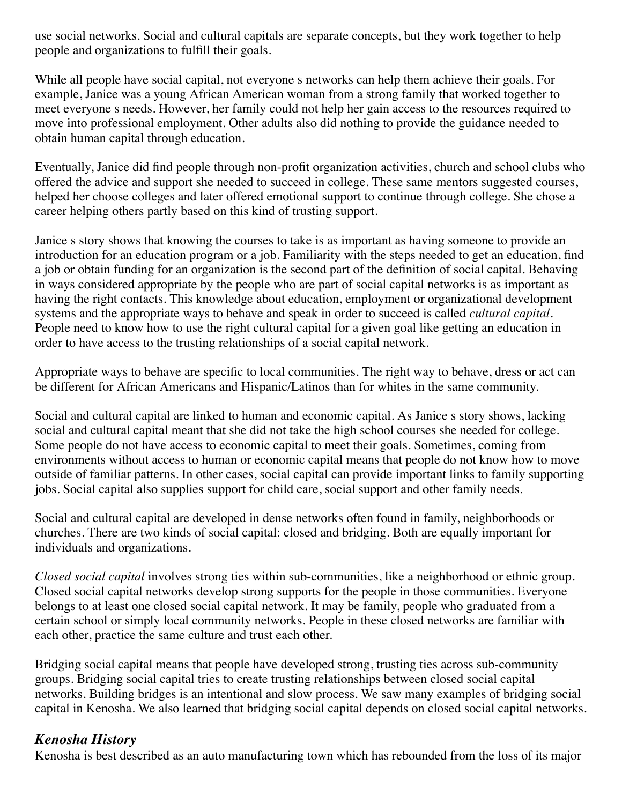use social networks. Social and cultural capitals are separate concepts, but they work together to help people and organizations to fulfill their goals.

While all people have social capital, not everyone s networks can help them achieve their goals. For example, Janice was a young African American woman from a strong family that worked together to meet everyone s needs. However, her family could not help her gain access to the resources required to move into professional employment. Other adults also did nothing to provide the guidance needed to obtain human capital through education.

Eventually, Janice did find people through non-profit organization activities, church and school clubs who offered the advice and support she needed to succeed in college. These same mentors suggested courses, helped her choose colleges and later offered emotional support to continue through college. She chose a career helping others partly based on this kind of trusting support.

Janice s story shows that knowing the courses to take is as important as having someone to provide an introduction for an education program or a job. Familiarity with the steps needed to get an education, find a job or obtain funding for an organization is the second part of the definition of social capital. Behaving in ways considered appropriate by the people who are part of social capital networks is as important as having the right contacts. This knowledge about education, employment or organizational development systems and the appropriate ways to behave and speak in order to succeed is called *cultural capital*. People need to know how to use the right cultural capital for a given goal like getting an education in order to have access to the trusting relationships of a social capital network.

Appropriate ways to behave are specific to local communities. The right way to behave, dress or act can be different for African Americans and Hispanic/Latinos than for whites in the same community.

Social and cultural capital are linked to human and economic capital. As Janice s story shows, lacking social and cultural capital meant that she did not take the high school courses she needed for college. Some people do not have access to economic capital to meet their goals. Sometimes, coming from environments without access to human or economic capital means that people do not know how to move outside of familiar patterns. In other cases, social capital can provide important links to family supporting jobs. Social capital also supplies support for child care, social support and other family needs.

Social and cultural capital are developed in dense networks often found in family, neighborhoods or churches. There are two kinds of social capital: closed and bridging. Both are equally important for individuals and organizations.

*Closed social capital* involves strong ties within sub-communities, like a neighborhood or ethnic group. Closed social capital networks develop strong supports for the people in those communities. Everyone belongs to at least one closed social capital network. It may be family, people who graduated from a certain school or simply local community networks. People in these closed networks are familiar with each other, practice the same culture and trust each other.

Bridging social capital means that people have developed strong, trusting ties across sub-community groups. Bridging social capital tries to create trusting relationships between closed social capital networks. Building bridges is an intentional and slow process. We saw many examples of bridging social capital in Kenosha. We also learned that bridging social capital depends on closed social capital networks.

## *Kenosha History*

Kenosha is best described as an auto manufacturing town which has rebounded from the loss of its major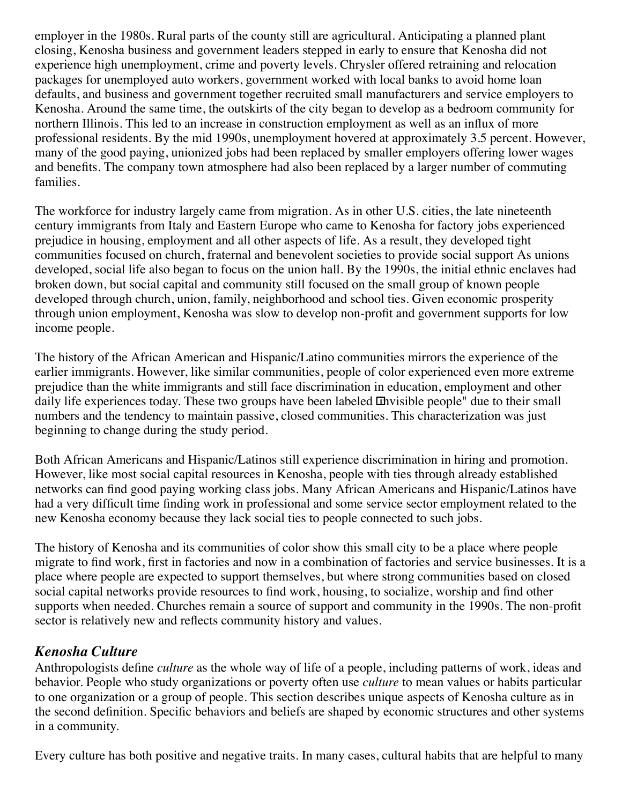employer in the 1980s. Rural parts of the county still are agricultural. Anticipating a planned plant closing, Kenosha business and government leaders stepped in early to ensure that Kenosha did not experience high unemployment, crime and poverty levels. Chrysler offered retraining and relocation packages for unemployed auto workers, government worked with local banks to avoid home loan defaults, and business and government together recruited small manufacturers and service employers to Kenosha. Around the same time, the outskirts of the city began to develop as a bedroom community for northern Illinois. This led to an increase in construction employment as well as an influx of more professional residents. By the mid 1990s, unemployment hovered at approximately 3.5 percent. However, many of the good paying, unionized jobs had been replaced by smaller employers offering lower wages and benefits. The company town atmosphere had also been replaced by a larger number of commuting families.

The workforce for industry largely came from migration. As in other U.S. cities, the late nineteenth century immigrants from Italy and Eastern Europe who came to Kenosha for factory jobs experienced prejudice in housing, employment and all other aspects of life. As a result, they developed tight communities focused on church, fraternal and benevolent societies to provide social support As unions developed, social life also began to focus on the union hall. By the 1990s, the initial ethnic enclaves had broken down, but social capital and community still focused on the small group of known people developed through church, union, family, neighborhood and school ties. Given economic prosperity through union employment, Kenosha was slow to develop non-profit and government supports for low income people.

The history of the African American and Hispanic/Latino communities mirrors the experience of the earlier immigrants. However, like similar communities, people of color experienced even more extreme prejudice than the white immigrants and still face discrimination in education, employment and other daily life experiences today. These two groups have been labeled  $\overline{u}$ hvisible people" due to their small numbers and the tendency to maintain passive, closed communities. This characterization was just beginning to change during the study period.

Both African Americans and Hispanic/Latinos still experience discrimination in hiring and promotion. However, like most social capital resources in Kenosha, people with ties through already established networks can find good paying working class jobs. Many African Americans and Hispanic/Latinos have had a very difficult time finding work in professional and some service sector employment related to the new Kenosha economy because they lack social ties to people connected to such jobs.

The history of Kenosha and its communities of color show this small city to be a place where people migrate to find work, first in factories and now in a combination of factories and service businesses. It is a place where people are expected to support themselves, but where strong communities based on closed social capital networks provide resources to find work, housing, to socialize, worship and find other supports when needed. Churches remain a source of support and community in the 1990s. The non-profit sector is relatively new and reflects community history and values.

# *Kenosha Culture*

Anthropologists define *culture* as the whole way of life of a people, including patterns of work, ideas and behavior. People who study organizations or poverty often use *culture* to mean values or habits particular to one organization or a group of people. This section describes unique aspects of Kenosha culture as in the second definition. Specific behaviors and beliefs are shaped by economic structures and other systems in a community.

Every culture has both positive and negative traits. In many cases, cultural habits that are helpful to many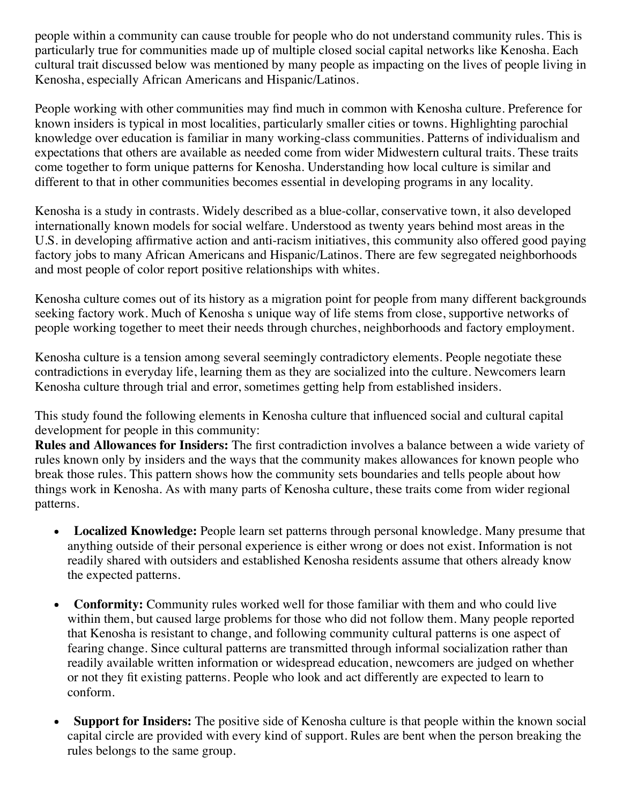people within a community can cause trouble for people who do not understand community rules. This is particularly true for communities made up of multiple closed social capital networks like Kenosha. Each cultural trait discussed below was mentioned by many people as impacting on the lives of people living in Kenosha, especially African Americans and Hispanic/Latinos.

People working with other communities may find much in common with Kenosha culture. Preference for known insiders is typical in most localities, particularly smaller cities or towns. Highlighting parochial knowledge over education is familiar in many working-class communities. Patterns of individualism and expectations that others are available as needed come from wider Midwestern cultural traits. These traits come together to form unique patterns for Kenosha. Understanding how local culture is similar and different to that in other communities becomes essential in developing programs in any locality.

Kenosha is a study in contrasts. Widely described as a blue-collar, conservative town, it also developed internationally known models for social welfare. Understood as twenty years behind most areas in the U.S. in developing affirmative action and anti-racism initiatives, this community also offered good paying factory jobs to many African Americans and Hispanic/Latinos. There are few segregated neighborhoods and most people of color report positive relationships with whites.

Kenosha culture comes out of its history as a migration point for people from many different backgrounds seeking factory work. Much of Kenosha s unique way of life stems from close, supportive networks of people working together to meet their needs through churches, neighborhoods and factory employment.

Kenosha culture is a tension among several seemingly contradictory elements. People negotiate these contradictions in everyday life, learning them as they are socialized into the culture. Newcomers learn Kenosha culture through trial and error, sometimes getting help from established insiders.

This study found the following elements in Kenosha culture that influenced social and cultural capital development for people in this community:

**Rules and Allowances for Insiders:** The first contradiction involves a balance between a wide variety of rules known only by insiders and the ways that the community makes allowances for known people who break those rules. This pattern shows how the community sets boundaries and tells people about how things work in Kenosha. As with many parts of Kenosha culture, these traits come from wider regional patterns.

- **Localized Knowledge:** People learn set patterns through personal knowledge. Many presume that anything outside of their personal experience is either wrong or does not exist. Information is not readily shared with outsiders and established Kenosha residents assume that others already know the expected patterns.
- **Conformity:** Community rules worked well for those familiar with them and who could live  $\bullet$ within them, but caused large problems for those who did not follow them. Many people reported that Kenosha is resistant to change, and following community cultural patterns is one aspect of fearing change. Since cultural patterns are transmitted through informal socialization rather than readily available written information or widespread education, newcomers are judged on whether or not they fit existing patterns. People who look and act differently are expected to learn to conform.
- **Support for Insiders:** The positive side of Kenosha culture is that people within the known social capital circle are provided with every kind of support. Rules are bent when the person breaking the rules belongs to the same group.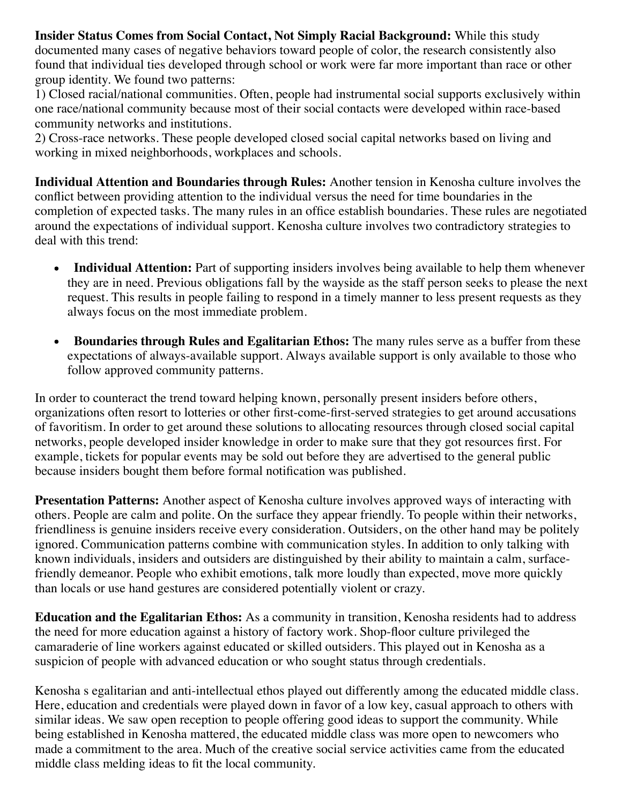**Insider Status Comes from Social Contact, Not Simply Racial Background:** While this study documented many cases of negative behaviors toward people of color, the research consistently also found that individual ties developed through school or work were far more important than race or other group identity. We found two patterns:

1) Closed racial/national communities. Often, people had instrumental social supports exclusively within one race/national community because most of their social contacts were developed within race-based community networks and institutions.

2) Cross-race networks. These people developed closed social capital networks based on living and working in mixed neighborhoods, workplaces and schools.

**Individual Attention and Boundaries through Rules:** Another tension in Kenosha culture involves the conflict between providing attention to the individual versus the need for time boundaries in the completion of expected tasks. The many rules in an office establish boundaries. These rules are negotiated around the expectations of individual support. Kenosha culture involves two contradictory strategies to deal with this trend:

- **Individual Attention:** Part of supporting insiders involves being available to help them whenever  $\bullet$ they are in need. Previous obligations fall by the wayside as the staff person seeks to please the next request. This results in people failing to respond in a timely manner to less present requests as they always focus on the most immediate problem.
- **Boundaries through Rules and Egalitarian Ethos:** The many rules serve as a buffer from these  $\bullet$ expectations of always-available support. Always available support is only available to those who follow approved community patterns.

In order to counteract the trend toward helping known, personally present insiders before others, organizations often resort to lotteries or other first-come-first-served strategies to get around accusations of favoritism. In order to get around these solutions to allocating resources through closed social capital networks, people developed insider knowledge in order to make sure that they got resources first. For example, tickets for popular events may be sold out before they are advertised to the general public because insiders bought them before formal notification was published.

**Presentation Patterns:** Another aspect of Kenosha culture involves approved ways of interacting with others. People are calm and polite. On the surface they appear friendly. To people within their networks, friendliness is genuine insiders receive every consideration. Outsiders, on the other hand may be politely ignored. Communication patterns combine with communication styles. In addition to only talking with known individuals, insiders and outsiders are distinguished by their ability to maintain a calm, surfacefriendly demeanor. People who exhibit emotions, talk more loudly than expected, move more quickly than locals or use hand gestures are considered potentially violent or crazy.

**Education and the Egalitarian Ethos:** As a community in transition, Kenosha residents had to address the need for more education against a history of factory work. Shop-floor culture privileged the camaraderie of line workers against educated or skilled outsiders. This played out in Kenosha as a suspicion of people with advanced education or who sought status through credentials.

Kenosha s egalitarian and anti-intellectual ethos played out differently among the educated middle class. Here, education and credentials were played down in favor of a low key, casual approach to others with similar ideas. We saw open reception to people offering good ideas to support the community. While being established in Kenosha mattered, the educated middle class was more open to newcomers who made a commitment to the area. Much of the creative social service activities came from the educated middle class melding ideas to fit the local community.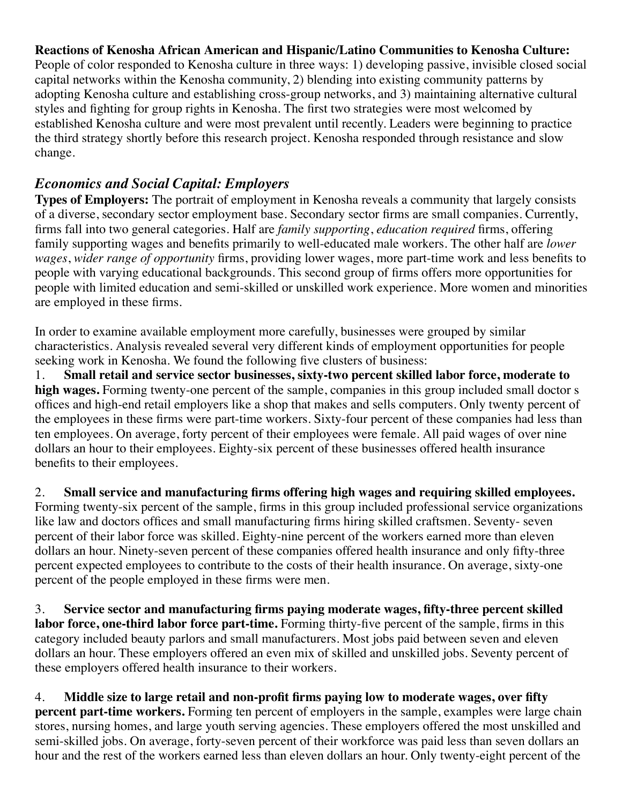#### **Reactions of Kenosha African American and Hispanic/Latino Communities to Kenosha Culture:**

People of color responded to Kenosha culture in three ways: 1) developing passive, invisible closed social capital networks within the Kenosha community, 2) blending into existing community patterns by adopting Kenosha culture and establishing cross-group networks, and 3) maintaining alternative cultural styles and fighting for group rights in Kenosha. The first two strategies were most welcomed by established Kenosha culture and were most prevalent until recently. Leaders were beginning to practice the third strategy shortly before this research project. Kenosha responded through resistance and slow change.

## *Economics and Social Capital: Employers*

**Types of Employers:** The portrait of employment in Kenosha reveals a community that largely consists of a diverse, secondary sector employment base. Secondary sector firms are small companies. Currently, firms fall into two general categories. Half are *family supporting*, *education required* firms, offering family supporting wages and benefits primarily to well-educated male workers. The other half are *lower wages*, *wider range of opportunity* firms, providing lower wages, more part-time work and less benefits to people with varying educational backgrounds. This second group of firms offers more opportunities for people with limited education and semi-skilled or unskilled work experience. More women and minorities are employed in these firms.

In order to examine available employment more carefully, businesses were grouped by similar characteristics. Analysis revealed several very different kinds of employment opportunities for people seeking work in Kenosha. We found the following five clusters of business:

1. **Small retail and service sector businesses, sixty-two percent skilled labor force, moderate to high wages.** Forming twenty-one percent of the sample, companies in this group included small doctor s offices and high-end retail employers like a shop that makes and sells computers. Only twenty percent of the employees in these firms were part-time workers. Sixty-four percent of these companies had less than ten employees. On average, forty percent of their employees were female. All paid wages of over nine dollars an hour to their employees. Eighty-six percent of these businesses offered health insurance benefits to their employees.

2. **Small service and manufacturing firms offering high wages and requiring skilled employees.** Forming twenty-six percent of the sample, firms in this group included professional service organizations like law and doctors offices and small manufacturing firms hiring skilled craftsmen. Seventy- seven percent of their labor force was skilled. Eighty-nine percent of the workers earned more than eleven dollars an hour. Ninety-seven percent of these companies offered health insurance and only fifty-three percent expected employees to contribute to the costs of their health insurance. On average, sixty-one percent of the people employed in these firms were men.

3. **Service sector and manufacturing firms paying moderate wages, fifty-three percent skilled labor force, one-third labor force part-time.** Forming thirty-five percent of the sample, firms in this category included beauty parlors and small manufacturers. Most jobs paid between seven and eleven dollars an hour. These employers offered an even mix of skilled and unskilled jobs. Seventy percent of these employers offered health insurance to their workers.

4. **Middle size to large retail and non-profit firms paying low to moderate wages, over fifty percent part-time workers.** Forming ten percent of employers in the sample, examples were large chain stores, nursing homes, and large youth serving agencies. These employers offered the most unskilled and semi-skilled jobs. On average, forty-seven percent of their workforce was paid less than seven dollars an hour and the rest of the workers earned less than eleven dollars an hour. Only twenty-eight percent of the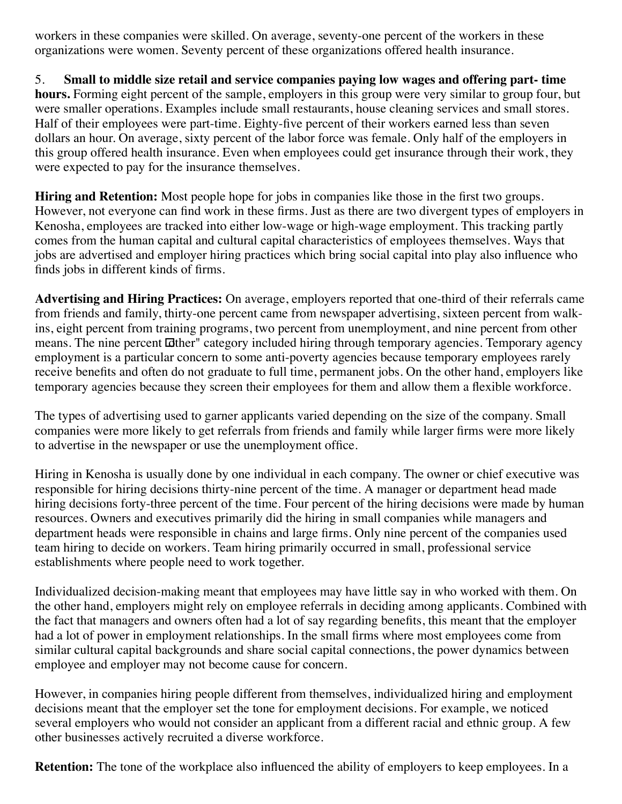workers in these companies were skilled. On average, seventy-one percent of the workers in these organizations were women. Seventy percent of these organizations offered health insurance.

5. **Small to middle size retail and service companies paying low wages and offering part- time hours.** Forming eight percent of the sample, employers in this group were very similar to group four, but were smaller operations. Examples include small restaurants, house cleaning services and small stores. Half of their employees were part-time. Eighty-five percent of their workers earned less than seven dollars an hour. On average, sixty percent of the labor force was female. Only half of the employers in this group offered health insurance. Even when employees could get insurance through their work, they were expected to pay for the insurance themselves.

**Hiring and Retention:** Most people hope for jobs in companies like those in the first two groups. However, not everyone can find work in these firms. Just as there are two divergent types of employers in Kenosha, employees are tracked into either low-wage or high-wage employment. This tracking partly comes from the human capital and cultural capital characteristics of employees themselves. Ways that jobs are advertised and employer hiring practices which bring social capital into play also influence who finds jobs in different kinds of firms.

**Advertising and Hiring Practices:** On average, employers reported that one-third of their referrals came from friends and family, thirty-one percent came from newspaper advertising, sixteen percent from walkins, eight percent from training programs, two percent from unemployment, and nine percent from other means. The nine percent  $\Delta t$  category included hiring through temporary agencies. Temporary agency employment is a particular concern to some anti-poverty agencies because temporary employees rarely receive benefits and often do not graduate to full time, permanent jobs. On the other hand, employers like temporary agencies because they screen their employees for them and allow them a flexible workforce.

The types of advertising used to garner applicants varied depending on the size of the company. Small companies were more likely to get referrals from friends and family while larger firms were more likely to advertise in the newspaper or use the unemployment office.

Hiring in Kenosha is usually done by one individual in each company. The owner or chief executive was responsible for hiring decisions thirty-nine percent of the time. A manager or department head made hiring decisions forty-three percent of the time. Four percent of the hiring decisions were made by human resources. Owners and executives primarily did the hiring in small companies while managers and department heads were responsible in chains and large firms. Only nine percent of the companies used team hiring to decide on workers. Team hiring primarily occurred in small, professional service establishments where people need to work together.

Individualized decision-making meant that employees may have little say in who worked with them. On the other hand, employers might rely on employee referrals in deciding among applicants. Combined with the fact that managers and owners often had a lot of say regarding benefits, this meant that the employer had a lot of power in employment relationships. In the small firms where most employees come from similar cultural capital backgrounds and share social capital connections, the power dynamics between employee and employer may not become cause for concern.

However, in companies hiring people different from themselves, individualized hiring and employment decisions meant that the employer set the tone for employment decisions. For example, we noticed several employers who would not consider an applicant from a different racial and ethnic group. A few other businesses actively recruited a diverse workforce.

**Retention:** The tone of the workplace also influenced the ability of employers to keep employees. In a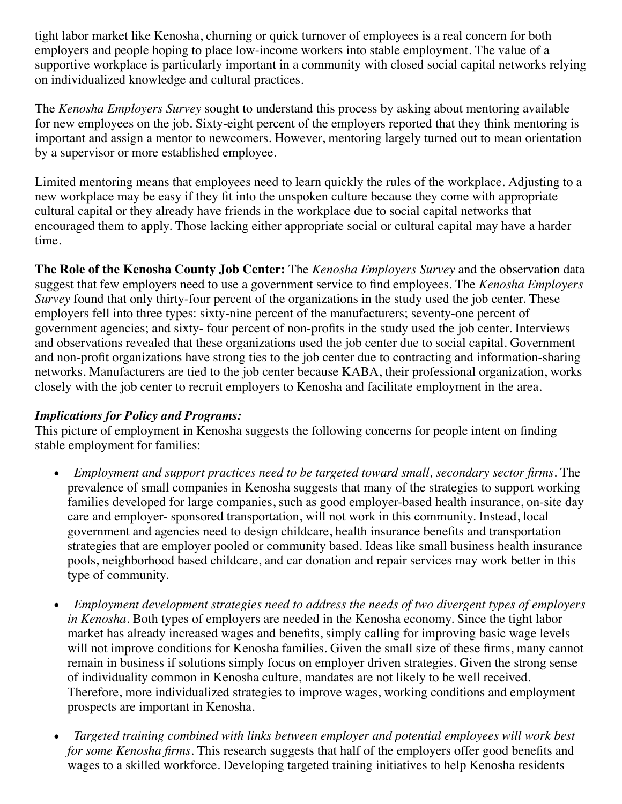tight labor market like Kenosha, churning or quick turnover of employees is a real concern for both employers and people hoping to place low-income workers into stable employment. The value of a supportive workplace is particularly important in a community with closed social capital networks relying on individualized knowledge and cultural practices.

The *Kenosha Employers Survey* sought to understand this process by asking about mentoring available for new employees on the job. Sixty-eight percent of the employers reported that they think mentoring is important and assign a mentor to newcomers. However, mentoring largely turned out to mean orientation by a supervisor or more established employee.

Limited mentoring means that employees need to learn quickly the rules of the workplace. Adjusting to a new workplace may be easy if they fit into the unspoken culture because they come with appropriate cultural capital or they already have friends in the workplace due to social capital networks that encouraged them to apply. Those lacking either appropriate social or cultural capital may have a harder time.

**The Role of the Kenosha County Job Center:** The *Kenosha Employers Survey* and the observation data suggest that few employers need to use a government service to find employees. The *Kenosha Employers Survey* found that only thirty-four percent of the organizations in the study used the job center. These employers fell into three types: sixty-nine percent of the manufacturers; seventy-one percent of government agencies; and sixty- four percent of non-profits in the study used the job center. Interviews and observations revealed that these organizations used the job center due to social capital. Government and non-profit organizations have strong ties to the job center due to contracting and information-sharing networks. Manufacturers are tied to the job center because KABA, their professional organization, works closely with the job center to recruit employers to Kenosha and facilitate employment in the area.

## *Implications for Policy and Programs:*

This picture of employment in Kenosha suggests the following concerns for people intent on finding stable employment for families:

- *Employment and support practices need to be targeted toward small, secondary sector firms.* The  $\bullet$ prevalence of small companies in Kenosha suggests that many of the strategies to support working families developed for large companies, such as good employer-based health insurance, on-site day care and employer- sponsored transportation, will not work in this community. Instead, local government and agencies need to design childcare, health insurance benefits and transportation strategies that are employer pooled or community based. Ideas like small business health insurance pools, neighborhood based childcare, and car donation and repair services may work better in this type of community.
- *Employment development strategies need to address the needs of two divergent types of employers*  $\bullet$ *in Kenosha.* Both types of employers are needed in the Kenosha economy. Since the tight labor market has already increased wages and benefits, simply calling for improving basic wage levels will not improve conditions for Kenosha families. Given the small size of these firms, many cannot remain in business if solutions simply focus on employer driven strategies. Given the strong sense of individuality common in Kenosha culture, mandates are not likely to be well received. Therefore, more individualized strategies to improve wages, working conditions and employment prospects are important in Kenosha.
- *Targeted training combined with links between employer and potential employees will work best*  $\bullet$ *for some Kenosha firms.* This research suggests that half of the employers offer good benefits and wages to a skilled workforce. Developing targeted training initiatives to help Kenosha residents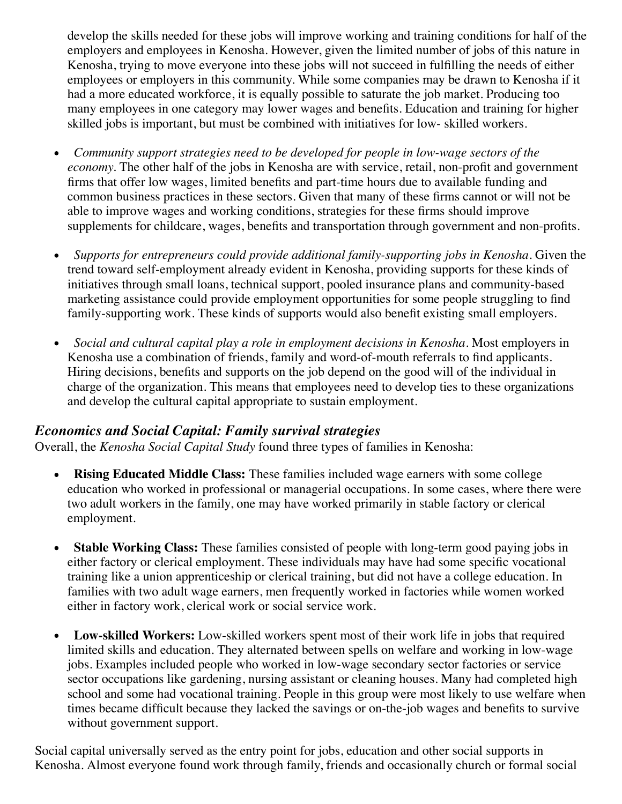develop the skills needed for these jobs will improve working and training conditions for half of the employers and employees in Kenosha. However, given the limited number of jobs of this nature in Kenosha, trying to move everyone into these jobs will not succeed in fulfilling the needs of either employees or employers in this community. While some companies may be drawn to Kenosha if it had a more educated workforce, it is equally possible to saturate the job market. Producing too many employees in one category may lower wages and benefits. Education and training for higher skilled jobs is important, but must be combined with initiatives for low- skilled workers.

- *Community support strategies need to be developed for people in low-wage sectors of the economy.* The other half of the jobs in Kenosha are with service, retail, non-profit and government firms that offer low wages, limited benefits and part-time hours due to available funding and common business practices in these sectors. Given that many of these firms cannot or will not be able to improve wages and working conditions, strategies for these firms should improve supplements for childcare, wages, benefits and transportation through government and non-profits.
- *Supports for entrepreneurs could provide additional family-supporting jobs in Kenosha.* Given the  $\bullet$ trend toward self-employment already evident in Kenosha, providing supports for these kinds of initiatives through small loans, technical support, pooled insurance plans and community-based marketing assistance could provide employment opportunities for some people struggling to find family-supporting work. These kinds of supports would also benefit existing small employers.
- *Social and cultural capital play a role in employment decisions in Kenosha.* Most employers in  $\bullet$ Kenosha use a combination of friends, family and word-of-mouth referrals to find applicants. Hiring decisions, benefits and supports on the job depend on the good will of the individual in charge of the organization. This means that employees need to develop ties to these organizations and develop the cultural capital appropriate to sustain employment.

## *Economics and Social Capital: Family survival strategies*

Overall, the *Kenosha Social Capital Study* found three types of families in Kenosha:

- $\bullet$ **Rising Educated Middle Class:** These families included wage earners with some college education who worked in professional or managerial occupations. In some cases, where there were two adult workers in the family, one may have worked primarily in stable factory or clerical employment.
- **Stable Working Class:** These families consisted of people with long-term good paying jobs in either factory or clerical employment. These individuals may have had some specific vocational training like a union apprenticeship or clerical training, but did not have a college education. In families with two adult wage earners, men frequently worked in factories while women worked either in factory work, clerical work or social service work.
- **Low-skilled Workers:** Low-skilled workers spent most of their work life in jobs that required  $\bullet$ limited skills and education. They alternated between spells on welfare and working in low-wage jobs. Examples included people who worked in low-wage secondary sector factories or service sector occupations like gardening, nursing assistant or cleaning houses. Many had completed high school and some had vocational training. People in this group were most likely to use welfare when times became difficult because they lacked the savings or on-the-job wages and benefits to survive without government support.

Social capital universally served as the entry point for jobs, education and other social supports in Kenosha. Almost everyone found work through family, friends and occasionally church or formal social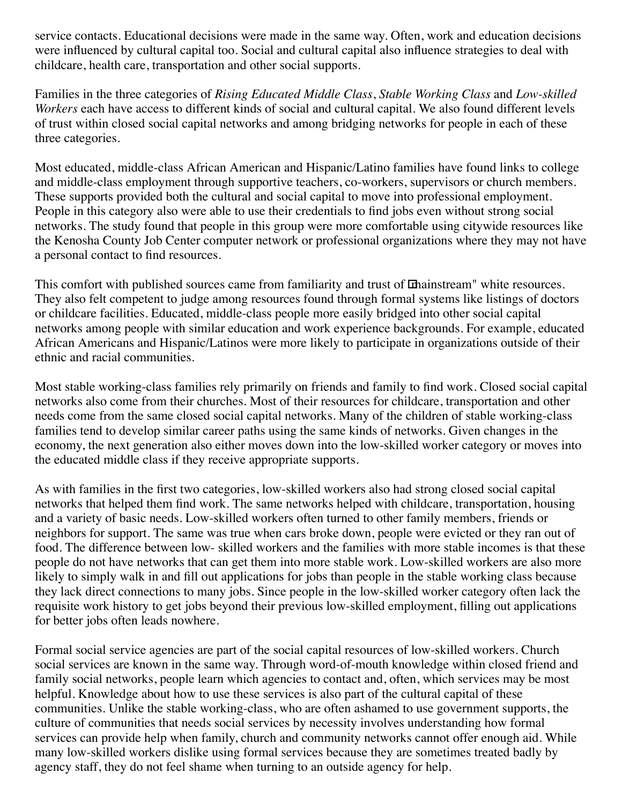service contacts. Educational decisions were made in the same way. Often, work and education decisions were influenced by cultural capital too. Social and cultural capital also influence strategies to deal with childcare, health care, transportation and other social supports.

Families in the three categories of *Rising Educated Middle Class*, *Stable Working Class* and *Low-skilled Workers* each have access to different kinds of social and cultural capital. We also found different levels of trust within closed social capital networks and among bridging networks for people in each of these three categories.

Most educated, middle-class African American and Hispanic/Latino families have found links to college and middle-class employment through supportive teachers, co-workers, supervisors or church members. These supports provided both the cultural and social capital to move into professional employment. People in this category also were able to use their credentials to find jobs even without strong social networks. The study found that people in this group were more comfortable using citywide resources like the Kenosha County Job Center computer network or professional organizations where they may not have a personal contact to find resources.

This comfort with published sources came from familiarity and trust of mainstream" white resources. They also felt competent to judge among resources found through formal systems like listings of doctors or childcare facilities. Educated, middle-class people more easily bridged into other social capital networks among people with similar education and work experience backgrounds. For example, educated African Americans and Hispanic/Latinos were more likely to participate in organizations outside of their ethnic and racial communities.

Most stable working-class families rely primarily on friends and family to find work. Closed social capital networks also come from their churches. Most of their resources for childcare, transportation and other needs come from the same closed social capital networks. Many of the children of stable working-class families tend to develop similar career paths using the same kinds of networks. Given changes in the economy, the next generation also either moves down into the low-skilled worker category or moves into the educated middle class if they receive appropriate supports.

As with families in the first two categories, low-skilled workers also had strong closed social capital networks that helped them find work. The same networks helped with childcare, transportation, housing and a variety of basic needs. Low-skilled workers often turned to other family members, friends or neighbors for support. The same was true when cars broke down, people were evicted or they ran out of food. The difference between low- skilled workers and the families with more stable incomes is that these people do not have networks that can get them into more stable work. Low-skilled workers are also more likely to simply walk in and fill out applications for jobs than people in the stable working class because they lack direct connections to many jobs. Since people in the low-skilled worker category often lack the requisite work history to get jobs beyond their previous low-skilled employment, filling out applications for better jobs often leads nowhere.

Formal social service agencies are part of the social capital resources of low-skilled workers. Church social services are known in the same way. Through word-of-mouth knowledge within closed friend and family social networks, people learn which agencies to contact and, often, which services may be most helpful. Knowledge about how to use these services is also part of the cultural capital of these communities. Unlike the stable working-class, who are often ashamed to use government supports, the culture of communities that needs social services by necessity involves understanding how formal services can provide help when family, church and community networks cannot offer enough aid. While many low-skilled workers dislike using formal services because they are sometimes treated badly by agency staff, they do not feel shame when turning to an outside agency for help.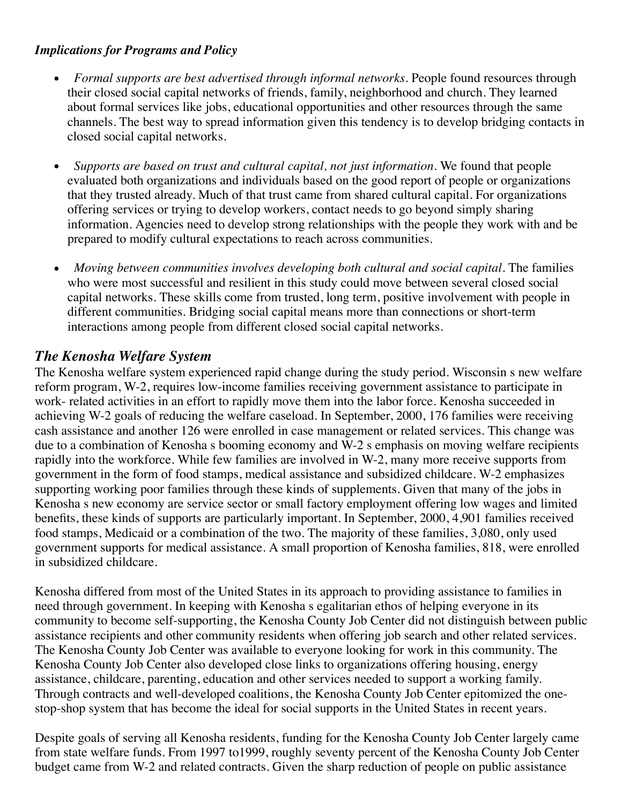#### *Implications for Programs and Policy*

- *Formal supports are best advertised through informal networks.* People found resources through their closed social capital networks of friends, family, neighborhood and church. They learned about formal services like jobs, educational opportunities and other resources through the same channels. The best way to spread information given this tendency is to develop bridging contacts in closed social capital networks.
- *Supports are based on trust and cultural capital, not just information.* We found that people evaluated both organizations and individuals based on the good report of people or organizations that they trusted already. Much of that trust came from shared cultural capital. For organizations offering services or trying to develop workers, contact needs to go beyond simply sharing information. Agencies need to develop strong relationships with the people they work with and be prepared to modify cultural expectations to reach across communities.
- *Moving between communities involves developing both cultural and social capital.* The families  $\bullet$ who were most successful and resilient in this study could move between several closed social capital networks. These skills come from trusted, long term, positive involvement with people in different communities. Bridging social capital means more than connections or short-term interactions among people from different closed social capital networks.

## *The Kenosha Welfare System*

The Kenosha welfare system experienced rapid change during the study period. Wisconsin s new welfare reform program, W-2, requires low-income families receiving government assistance to participate in work- related activities in an effort to rapidly move them into the labor force. Kenosha succeeded in achieving W-2 goals of reducing the welfare caseload. In September, 2000, 176 families were receiving cash assistance and another 126 were enrolled in case management or related services. This change was due to a combination of Kenosha s booming economy and W-2 s emphasis on moving welfare recipients rapidly into the workforce. While few families are involved in W-2, many more receive supports from government in the form of food stamps, medical assistance and subsidized childcare. W-2 emphasizes supporting working poor families through these kinds of supplements. Given that many of the jobs in Kenosha s new economy are service sector or small factory employment offering low wages and limited benefits, these kinds of supports are particularly important. In September, 2000, 4,901 families received food stamps, Medicaid or a combination of the two. The majority of these families, 3,080, only used government supports for medical assistance. A small proportion of Kenosha families, 818, were enrolled in subsidized childcare.

Kenosha differed from most of the United States in its approach to providing assistance to families in need through government. In keeping with Kenosha s egalitarian ethos of helping everyone in its community to become self-supporting, the Kenosha County Job Center did not distinguish between public assistance recipients and other community residents when offering job search and other related services. The Kenosha County Job Center was available to everyone looking for work in this community. The Kenosha County Job Center also developed close links to organizations offering housing, energy assistance, childcare, parenting, education and other services needed to support a working family. Through contracts and well-developed coalitions, the Kenosha County Job Center epitomized the onestop-shop system that has become the ideal for social supports in the United States in recent years.

Despite goals of serving all Kenosha residents, funding for the Kenosha County Job Center largely came from state welfare funds. From 1997 to1999, roughly seventy percent of the Kenosha County Job Center budget came from W-2 and related contracts. Given the sharp reduction of people on public assistance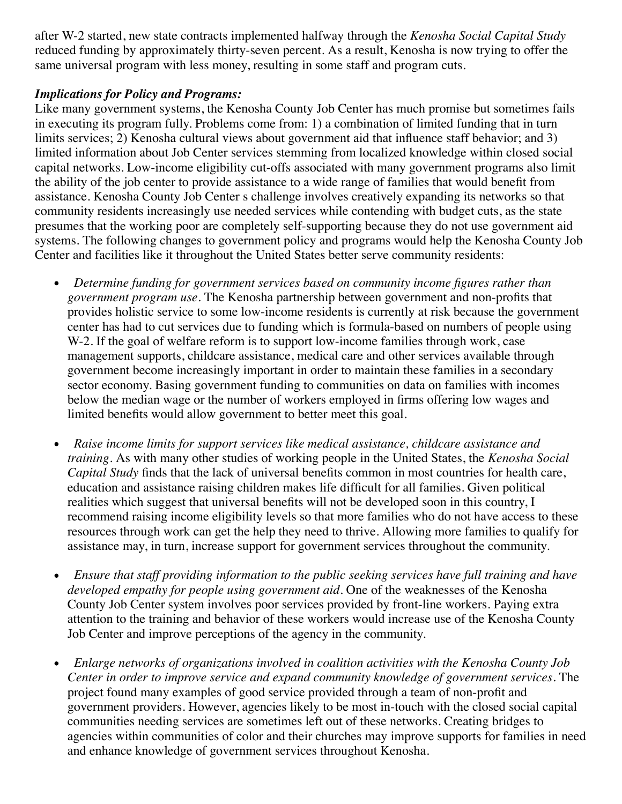after W-2 started, new state contracts implemented halfway through the *Kenosha Social Capital Study* reduced funding by approximately thirty-seven percent. As a result, Kenosha is now trying to offer the same universal program with less money, resulting in some staff and program cuts.

## *Implications for Policy and Programs:*

Like many government systems, the Kenosha County Job Center has much promise but sometimes fails in executing its program fully. Problems come from: 1) a combination of limited funding that in turn limits services; 2) Kenosha cultural views about government aid that influence staff behavior; and 3) limited information about Job Center services stemming from localized knowledge within closed social capital networks. Low-income eligibility cut-offs associated with many government programs also limit the ability of the job center to provide assistance to a wide range of families that would benefit from assistance. Kenosha County Job Center s challenge involves creatively expanding its networks so that community residents increasingly use needed services while contending with budget cuts, as the state presumes that the working poor are completely self-supporting because they do not use government aid systems. The following changes to government policy and programs would help the Kenosha County Job Center and facilities like it throughout the United States better serve community residents:

- $\bullet$ *Determine funding for government services based on community income figures rather than government program use.* The Kenosha partnership between government and non-profits that provides holistic service to some low-income residents is currently at risk because the government center has had to cut services due to funding which is formula-based on numbers of people using W-2. If the goal of welfare reform is to support low-income families through work, case management supports, childcare assistance, medical care and other services available through government become increasingly important in order to maintain these families in a secondary sector economy. Basing government funding to communities on data on families with incomes below the median wage or the number of workers employed in firms offering low wages and limited benefits would allow government to better meet this goal.
- *Raise income limits for support services like medical assistance, childcare assistance and*  $\bullet$ *training.* As with many other studies of working people in the United States, the *Kenosha Social Capital Study* finds that the lack of universal benefits common in most countries for health care, education and assistance raising children makes life difficult for all families. Given political realities which suggest that universal benefits will not be developed soon in this country, I recommend raising income eligibility levels so that more families who do not have access to these resources through work can get the help they need to thrive. Allowing more families to qualify for assistance may, in turn, increase support for government services throughout the community.
- *Ensure that staff providing information to the public seeking services have full training and have*  $\bullet$ *developed empathy for people using government aid.* One of the weaknesses of the Kenosha County Job Center system involves poor services provided by front-line workers. Paying extra attention to the training and behavior of these workers would increase use of the Kenosha County Job Center and improve perceptions of the agency in the community.
- $\bullet$ *Enlarge networks of organizations involved in coalition activities with the Kenosha County Job Center in order to improve service and expand community knowledge of government services.* The project found many examples of good service provided through a team of non-profit and government providers. However, agencies likely to be most in-touch with the closed social capital communities needing services are sometimes left out of these networks. Creating bridges to agencies within communities of color and their churches may improve supports for families in need and enhance knowledge of government services throughout Kenosha.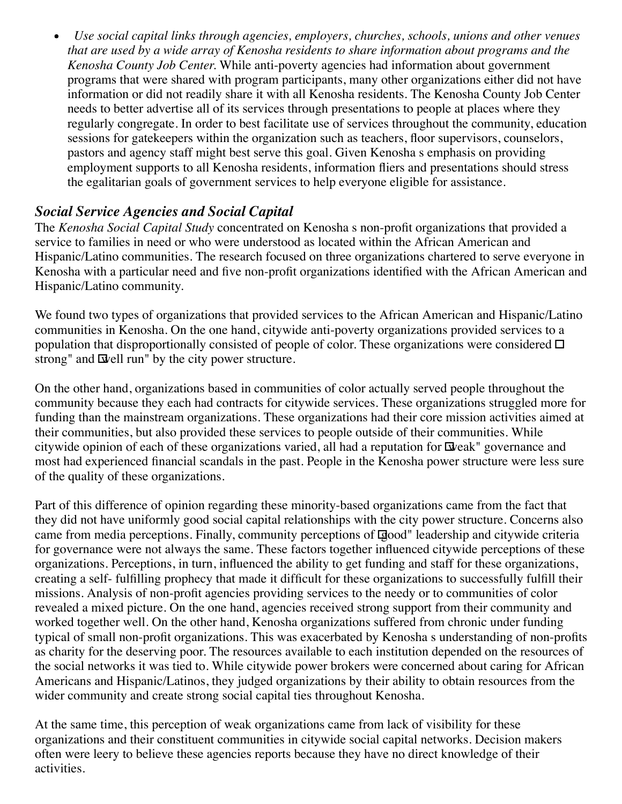*Use social capital links through agencies, employers, churches, schools, unions and other venues*  $\bullet$ *that are used by a wide array of Kenosha residents to share information about programs and the Kenosha County Job Center.* While anti-poverty agencies had information about government programs that were shared with program participants, many other organizations either did not have information or did not readily share it with all Kenosha residents. The Kenosha County Job Center needs to better advertise all of its services through presentations to people at places where they regularly congregate. In order to best facilitate use of services throughout the community, education sessions for gatekeepers within the organization such as teachers, floor supervisors, counselors, pastors and agency staff might best serve this goal. Given Kenosha s emphasis on providing employment supports to all Kenosha residents, information fliers and presentations should stress the egalitarian goals of government services to help everyone eligible for assistance.

# *Social Service Agencies and Social Capital*

The *Kenosha Social Capital Study* concentrated on Kenosha s non-profit organizations that provided a service to families in need or who were understood as located within the African American and Hispanic/Latino communities. The research focused on three organizations chartered to serve everyone in Kenosha with a particular need and five non-profit organizations identified with the African American and Hispanic/Latino community.

We found two types of organizations that provided services to the African American and Hispanic/Latino communities in Kenosha. On the one hand, citywide anti-poverty organizations provided services to a population that disproportionally consisted of people of color. These organizations were considered  $\Box$ strong" and  $\Phi$ ell run" by the city power structure.

On the other hand, organizations based in communities of color actually served people throughout the community because they each had contracts for citywide services. These organizations struggled more for funding than the mainstream organizations. These organizations had their core mission activities aimed at their communities, but also provided these services to people outside of their communities. While citywide opinion of each of these organizations varied, all had a reputation for  $\Xi$  veak" governance and most had experienced financial scandals in the past. People in the Kenosha power structure were less sure of the quality of these organizations.

Part of this difference of opinion regarding these minority-based organizations came from the fact that they did not have uniformly good social capital relationships with the city power structure. Concerns also came from media perceptions. Finally, community perceptions of good" leadership and citywide criteria for governance were not always the same. These factors together influenced citywide perceptions of these organizations. Perceptions, in turn, influenced the ability to get funding and staff for these organizations, creating a self- fulfilling prophecy that made it difficult for these organizations to successfully fulfill their missions. Analysis of non-profit agencies providing services to the needy or to communities of color revealed a mixed picture. On the one hand, agencies received strong support from their community and worked together well. On the other hand, Kenosha organizations suffered from chronic under funding typical of small non-profit organizations. This was exacerbated by Kenosha s understanding of non-profits as charity for the deserving poor. The resources available to each institution depended on the resources of the social networks it was tied to. While citywide power brokers were concerned about caring for African Americans and Hispanic/Latinos, they judged organizations by their ability to obtain resources from the wider community and create strong social capital ties throughout Kenosha.

At the same time, this perception of weak organizations came from lack of visibility for these organizations and their constituent communities in citywide social capital networks. Decision makers often were leery to believe these agencies reports because they have no direct knowledge of their activities.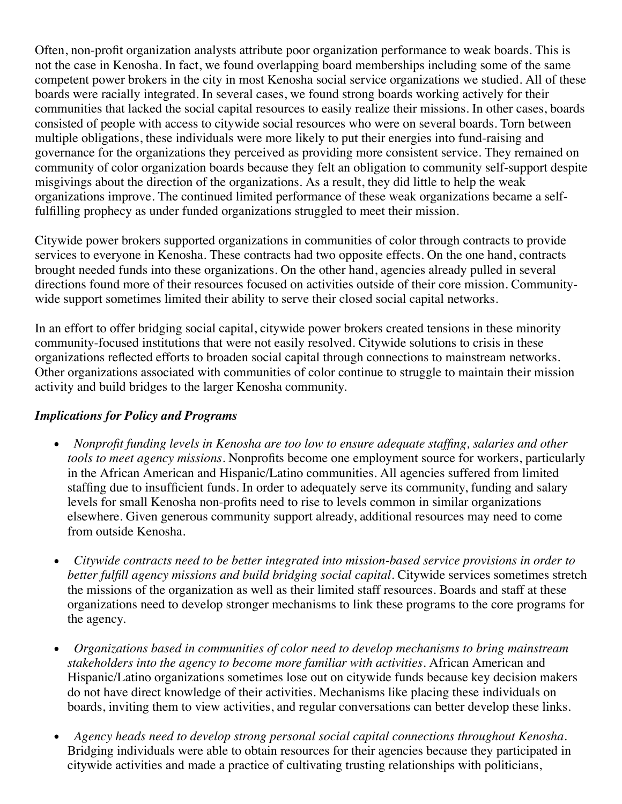Often, non-profit organization analysts attribute poor organization performance to weak boards. This is not the case in Kenosha. In fact, we found overlapping board memberships including some of the same competent power brokers in the city in most Kenosha social service organizations we studied. All of these boards were racially integrated. In several cases, we found strong boards working actively for their communities that lacked the social capital resources to easily realize their missions. In other cases, boards consisted of people with access to citywide social resources who were on several boards. Torn between multiple obligations, these individuals were more likely to put their energies into fund-raising and governance for the organizations they perceived as providing more consistent service. They remained on community of color organization boards because they felt an obligation to community self-support despite misgivings about the direction of the organizations. As a result, they did little to help the weak organizations improve. The continued limited performance of these weak organizations became a selffulfilling prophecy as under funded organizations struggled to meet their mission.

Citywide power brokers supported organizations in communities of color through contracts to provide services to everyone in Kenosha. These contracts had two opposite effects. On the one hand, contracts brought needed funds into these organizations. On the other hand, agencies already pulled in several directions found more of their resources focused on activities outside of their core mission. Communitywide support sometimes limited their ability to serve their closed social capital networks.

In an effort to offer bridging social capital, citywide power brokers created tensions in these minority community-focused institutions that were not easily resolved. Citywide solutions to crisis in these organizations reflected efforts to broaden social capital through connections to mainstream networks. Other organizations associated with communities of color continue to struggle to maintain their mission activity and build bridges to the larger Kenosha community.

## *Implications for Policy and Programs*

- *Nonprofit funding levels in Kenosha are too low to ensure adequate staffing, salaries and other*  $\bullet$ *tools to meet agency missions.* Nonprofits become one employment source for workers, particularly in the African American and Hispanic/Latino communities. All agencies suffered from limited staffing due to insufficient funds. In order to adequately serve its community, funding and salary levels for small Kenosha non-profits need to rise to levels common in similar organizations elsewhere. Given generous community support already, additional resources may need to come from outside Kenosha.
- *Citywide contracts need to be better integrated into mission-based service provisions in order to better fulfill agency missions and build bridging social capital.* Citywide services sometimes stretch the missions of the organization as well as their limited staff resources. Boards and staff at these organizations need to develop stronger mechanisms to link these programs to the core programs for the agency.
- *Organizations based in communities of color need to develop mechanisms to bring mainstream*  $\bullet$ *stakeholders into the agency to become more familiar with activities.* African American and Hispanic/Latino organizations sometimes lose out on citywide funds because key decision makers do not have direct knowledge of their activities. Mechanisms like placing these individuals on boards, inviting them to view activities, and regular conversations can better develop these links.
- *Agency heads need to develop strong personal social capital connections throughout Kenosha.* Bridging individuals were able to obtain resources for their agencies because they participated in citywide activities and made a practice of cultivating trusting relationships with politicians,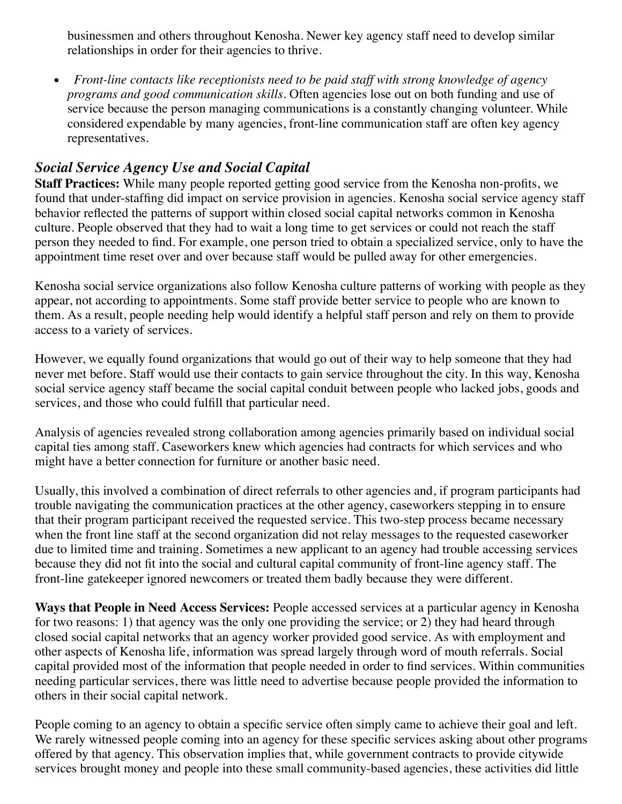businessmen and others throughout Kenosha. Newer key agency staff need to develop similar relationships in order for their agencies to thrive.

*Front-line contacts like receptionists need to be paid staf with strong knowledge of agency*  $\bullet$ *programs and good communication skills.* Often agencies lose out on both funding and use of service because the person managing communications is a constantly changing volunteer. While considered expendable by many agencies, front-line communication staff are often key agency representatives.

## *Social Service Agency Use and Social Capital*

**Staff Practices:** While many people reported getting good service from the Kenosha non-profits, we found that under-staffing did impact on service provision in agencies. Kenosha social service agency staff behavior reflected the patterns of support within closed social capital networks common in Kenosha culture. People observed that they had to wait a long time to get services or could not reach the staff person they needed to find. For example, one person tried to obtain a specialized service, only to have the appointment time reset over and over because staff would be pulled away for other emergencies.

Kenosha social service organizations also follow Kenosha culture patterns of working with people as they appear, not according to appointments. Some staff provide better service to people who are known to them. As a result, people needing help would identify a helpful staff person and rely on them to provide access to a variety of services.

However, we equally found organizations that would go out of their way to help someone that they had never met before. Staff would use their contacts to gain service throughout the city. In this way, Kenosha social service agency staff became the social capital conduit between people who lacked jobs, goods and services, and those who could fulfill that particular need.

Analysis of agencies revealed strong collaboration among agencies primarily based on individual social capital ties among staff. Caseworkers knew which agencies had contracts for which services and who might have a better connection for furniture or another basic need.

Usually, this involved a combination of direct referrals to other agencies and, if program participants had trouble navigating the communication practices at the other agency, caseworkers stepping in to ensure that their program participant received the requested service. This two-step process became necessary when the front line staff at the second organization did not relay messages to the requested caseworker due to limited time and training. Sometimes a new applicant to an agency had trouble accessing services because they did not fit into the social and cultural capital community of front-line agency staff. The front-line gatekeeper ignored newcomers or treated them badly because they were different.

**Ways that People in Need Access Services:** People accessed services at a particular agency in Kenosha for two reasons: 1) that agency was the only one providing the service; or 2) they had heard through closed social capital networks that an agency worker provided good service. As with employment and other aspects of Kenosha life, information was spread largely through word of mouth referrals. Social capital provided most of the information that people needed in order to find services. Within communities needing particular services, there was little need to advertise because people provided the information to others in their social capital network.

People coming to an agency to obtain a specific service often simply came to achieve their goal and left. We rarely witnessed people coming into an agency for these specific services asking about other programs offered by that agency. This observation implies that, while government contracts to provide citywide services brought money and people into these small community-based agencies, these activities did little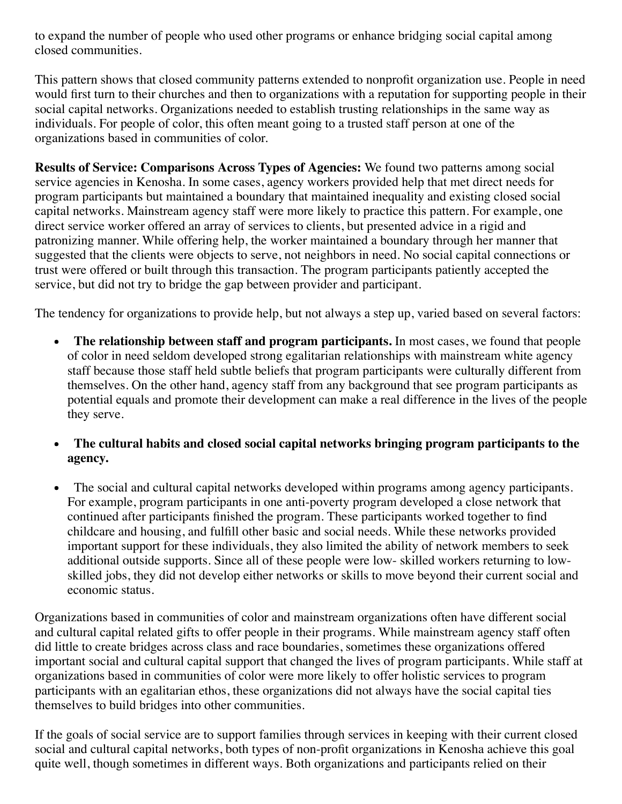to expand the number of people who used other programs or enhance bridging social capital among closed communities.

This pattern shows that closed community patterns extended to nonprofit organization use. People in need would first turn to their churches and then to organizations with a reputation for supporting people in their social capital networks. Organizations needed to establish trusting relationships in the same way as individuals. For people of color, this often meant going to a trusted staff person at one of the organizations based in communities of color.

**Results of Service: Comparisons Across Types of Agencies:** We found two patterns among social service agencies in Kenosha. In some cases, agency workers provided help that met direct needs for program participants but maintained a boundary that maintained inequality and existing closed social capital networks. Mainstream agency staff were more likely to practice this pattern. For example, one direct service worker offered an array of services to clients, but presented advice in a rigid and patronizing manner. While offering help, the worker maintained a boundary through her manner that suggested that the clients were objects to serve, not neighbors in need. No social capital connections or trust were offered or built through this transaction. The program participants patiently accepted the service, but did not try to bridge the gap between provider and participant.

The tendency for organizations to provide help, but not always a step up, varied based on several factors:

- **The relationship between staff and program participants.** In most cases, we found that people of color in need seldom developed strong egalitarian relationships with mainstream white agency staff because those staff held subtle beliefs that program participants were culturally different from themselves. On the other hand, agency staff from any background that see program participants as potential equals and promote their development can make a real difference in the lives of the people they serve.
- **The cultural habits and closed social capital networks bringing program participants to the agency.**
- The social and cultural capital networks developed within programs among agency participants. For example, program participants in one anti-poverty program developed a close network that continued after participants finished the program. These participants worked together to find childcare and housing, and fulfill other basic and social needs. While these networks provided important support for these individuals, they also limited the ability of network members to seek additional outside supports. Since all of these people were low- skilled workers returning to lowskilled jobs, they did not develop either networks or skills to move beyond their current social and economic status.

Organizations based in communities of color and mainstream organizations often have different social and cultural capital related gifts to offer people in their programs. While mainstream agency staff often did little to create bridges across class and race boundaries, sometimes these organizations offered important social and cultural capital support that changed the lives of program participants. While staff at organizations based in communities of color were more likely to offer holistic services to program participants with an egalitarian ethos, these organizations did not always have the social capital ties themselves to build bridges into other communities.

If the goals of social service are to support families through services in keeping with their current closed social and cultural capital networks, both types of non-profit organizations in Kenosha achieve this goal quite well, though sometimes in different ways. Both organizations and participants relied on their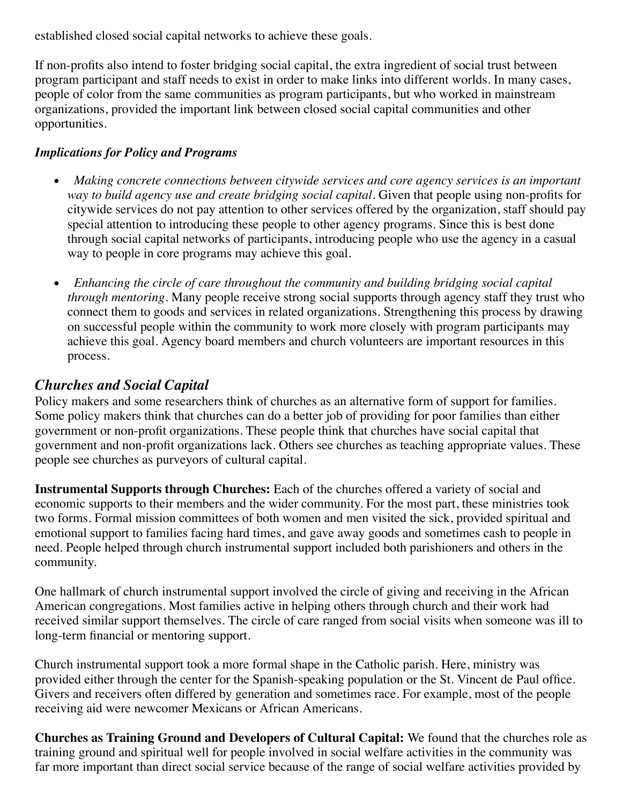established closed social capital networks to achieve these goals.

If non-profits also intend to foster bridging social capital, the extra ingredient of social trust between program participant and staff needs to exist in order to make links into different worlds. In many cases, people of color from the same communities as program participants, but who worked in mainstream organizations, provided the important link between closed social capital communities and other opportunities.

## *Implications for Policy and Programs*

- *Making concrete connections between citywide services and core agency services is an important*  $\bullet$ *way to build agency use and create bridging social capital.* Given that people using non-profits for citywide services do not pay attention to other services offered by the organization, staff should pay special attention to introducing these people to other agency programs. Since this is best done through social capital networks of participants, introducing people who use the agency in a casual way to people in core programs may achieve this goal.
- *Enhancing the circle of care throughout the community and building bridging social capital through mentoring.* Many people receive strong social supports through agency staff they trust who connect them to goods and services in related organizations. Strengthening this process by drawing on successful people within the community to work more closely with program participants may achieve this goal. Agency board members and church volunteers are important resources in this process.

## *Churches and Social Capital*

Policy makers and some researchers think of churches as an alternative form of support for families. Some policy makers think that churches can do a better job of providing for poor families than either government or non-profit organizations. These people think that churches have social capital that government and non-profit organizations lack. Others see churches as teaching appropriate values. These people see churches as purveyors of cultural capital.

**Instrumental Supports through Churches:** Each of the churches offered a variety of social and economic supports to their members and the wider community. For the most part, these ministries took two forms. Formal mission committees of both women and men visited the sick, provided spiritual and emotional support to families facing hard times, and gave away goods and sometimes cash to people in need. People helped through church instrumental support included both parishioners and others in the community.

One hallmark of church instrumental support involved the circle of giving and receiving in the African American congregations. Most families active in helping others through church and their work had received similar support themselves. The circle of care ranged from social visits when someone was ill to long-term financial or mentoring support.

Church instrumental support took a more formal shape in the Catholic parish. Here, ministry was provided either through the center for the Spanish-speaking population or the St. Vincent de Paul office. Givers and receivers often differed by generation and sometimes race. For example, most of the people receiving aid were newcomer Mexicans or African Americans.

**Churches as Training Ground and Developers of Cultural Capital:** We found that the churches role as training ground and spiritual well for people involved in social welfare activities in the community was far more important than direct social service because of the range of social welfare activities provided by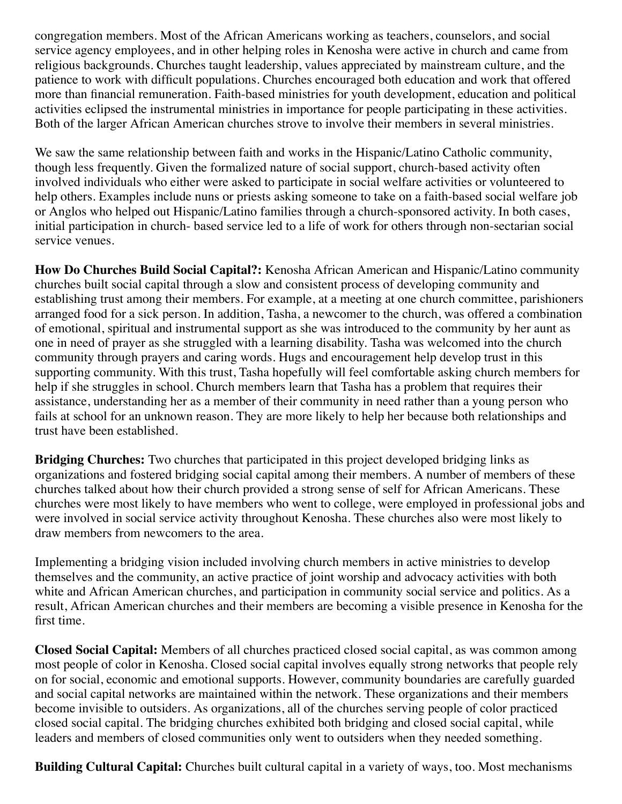congregation members. Most of the African Americans working as teachers, counselors, and social service agency employees, and in other helping roles in Kenosha were active in church and came from religious backgrounds. Churches taught leadership, values appreciated by mainstream culture, and the patience to work with difficult populations. Churches encouraged both education and work that offered more than financial remuneration. Faith-based ministries for youth development, education and political activities eclipsed the instrumental ministries in importance for people participating in these activities. Both of the larger African American churches strove to involve their members in several ministries.

We saw the same relationship between faith and works in the Hispanic/Latino Catholic community, though less frequently. Given the formalized nature of social support, church-based activity often involved individuals who either were asked to participate in social welfare activities or volunteered to help others. Examples include nuns or priests asking someone to take on a faith-based social welfare job or Anglos who helped out Hispanic/Latino families through a church-sponsored activity. In both cases, initial participation in church- based service led to a life of work for others through non-sectarian social service venues.

**How Do Churches Build Social Capital?:** Kenosha African American and Hispanic/Latino community churches built social capital through a slow and consistent process of developing community and establishing trust among their members. For example, at a meeting at one church committee, parishioners arranged food for a sick person. In addition, Tasha, a newcomer to the church, was offered a combination of emotional, spiritual and instrumental support as she was introduced to the community by her aunt as one in need of prayer as she struggled with a learning disability. Tasha was welcomed into the church community through prayers and caring words. Hugs and encouragement help develop trust in this supporting community. With this trust, Tasha hopefully will feel comfortable asking church members for help if she struggles in school. Church members learn that Tasha has a problem that requires their assistance, understanding her as a member of their community in need rather than a young person who fails at school for an unknown reason. They are more likely to help her because both relationships and trust have been established.

**Bridging Churches:** Two churches that participated in this project developed bridging links as organizations and fostered bridging social capital among their members. A number of members of these churches talked about how their church provided a strong sense of self for African Americans. These churches were most likely to have members who went to college, were employed in professional jobs and were involved in social service activity throughout Kenosha. These churches also were most likely to draw members from newcomers to the area.

Implementing a bridging vision included involving church members in active ministries to develop themselves and the community, an active practice of joint worship and advocacy activities with both white and African American churches, and participation in community social service and politics. As a result, African American churches and their members are becoming a visible presence in Kenosha for the first time.

**Closed Social Capital:** Members of all churches practiced closed social capital, as was common among most people of color in Kenosha. Closed social capital involves equally strong networks that people rely on for social, economic and emotional supports. However, community boundaries are carefully guarded and social capital networks are maintained within the network. These organizations and their members become invisible to outsiders. As organizations, all of the churches serving people of color practiced closed social capital. The bridging churches exhibited both bridging and closed social capital, while leaders and members of closed communities only went to outsiders when they needed something.

**Building Cultural Capital:** Churches built cultural capital in a variety of ways, too. Most mechanisms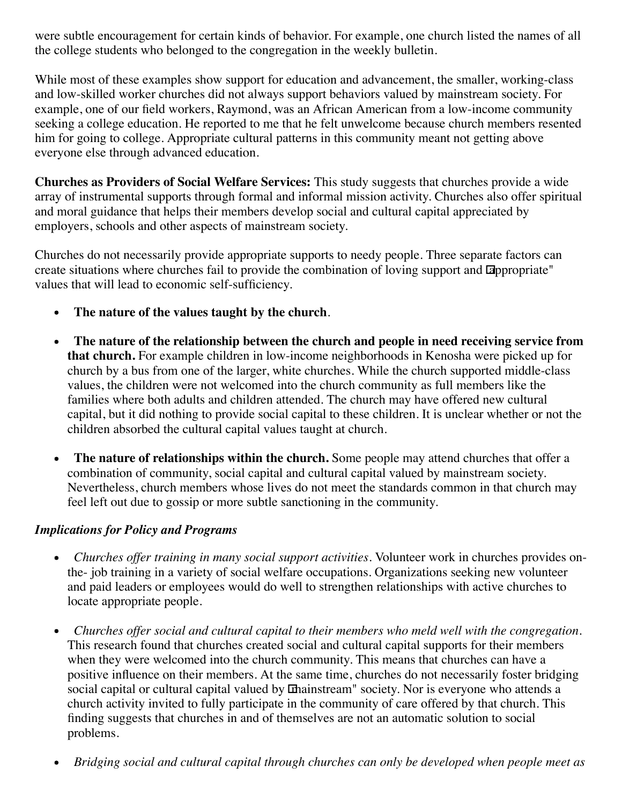were subtle encouragement for certain kinds of behavior. For example, one church listed the names of all the college students who belonged to the congregation in the weekly bulletin.

While most of these examples show support for education and advancement, the smaller, working-class and low-skilled worker churches did not always support behaviors valued by mainstream society. For example, one of our field workers, Raymond, was an African American from a low-income community seeking a college education. He reported to me that he felt unwelcome because church members resented him for going to college. Appropriate cultural patterns in this community meant not getting above everyone else through advanced education.

**Churches as Providers of Social Welfare Services:** This study suggests that churches provide a wide array of instrumental supports through formal and informal mission activity. Churches also offer spiritual and moral guidance that helps their members develop social and cultural capital appreciated by employers, schools and other aspects of mainstream society.

Churches do not necessarily provide appropriate supports to needy people. Three separate factors can create situations where churches fail to provide the combination of loving support and appropriate" values that will lead to economic self-sufficiency.

- $\bullet$ **The nature of the values taught by the church**.
- **The nature of the relationship between the church and people in need receiving service from**  $\bullet$ **that church.** For example children in low-income neighborhoods in Kenosha were picked up for church by a bus from one of the larger, white churches. While the church supported middle-class values, the children were not welcomed into the church community as full members like the families where both adults and children attended. The church may have offered new cultural capital, but it did nothing to provide social capital to these children. It is unclear whether or not the children absorbed the cultural capital values taught at church.
- **The nature of relationships within the church.** Some people may attend churches that offer a  $\bullet$ combination of community, social capital and cultural capital valued by mainstream society. Nevertheless, church members whose lives do not meet the standards common in that church may feel left out due to gossip or more subtle sanctioning in the community.

## *Implications for Policy and Programs*

- $\bullet$ *Churches of er training in many social support activities.* Volunteer work in churches provides onthe- job training in a variety of social welfare occupations. Organizations seeking new volunteer and paid leaders or employees would do well to strengthen relationships with active churches to locate appropriate people.
- *Churches of er social and cultural capital to their members who meld well with the congregation.*  $\bullet$ This research found that churches created social and cultural capital supports for their members when they were welcomed into the church community. This means that churches can have a positive influence on their members. At the same time, churches do not necessarily foster bridging social capital or cultural capital valued by **Chainstream**" society. Nor is everyone who attends a church activity invited to fully participate in the community of care offered by that church. This finding suggests that churches in and of themselves are not an automatic solution to social problems.
- *Bridging social and cultural capital through churches can only be developed when people meet as* $\bullet$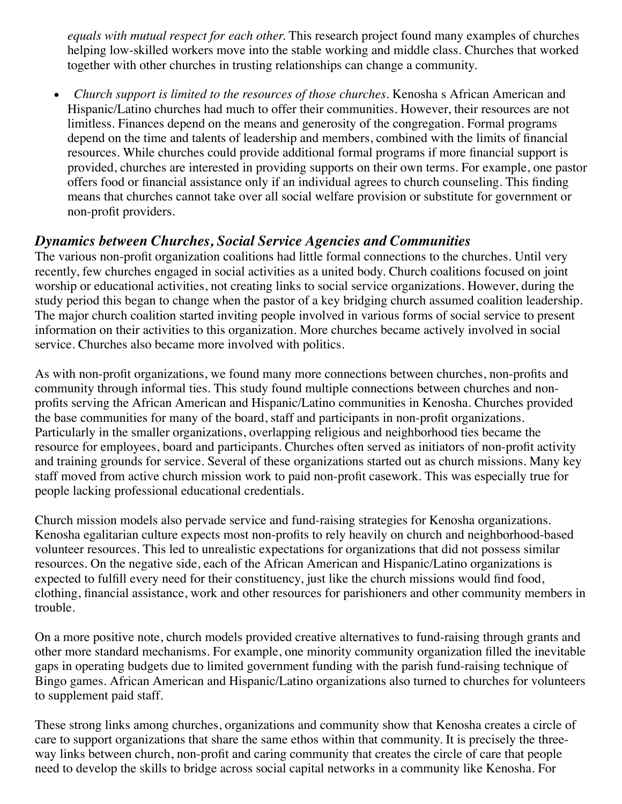*equals with mutual respect for each other.* This research project found many examples of churches helping low-skilled workers move into the stable working and middle class. Churches that worked together with other churches in trusting relationships can change a community.

*Church support is limited to the resources of those churches.* Kenosha s African American and Hispanic/Latino churches had much to offer their communities. However, their resources are not limitless. Finances depend on the means and generosity of the congregation. Formal programs depend on the time and talents of leadership and members, combined with the limits of financial resources. While churches could provide additional formal programs if more financial support is provided, churches are interested in providing supports on their own terms. For example, one pastor offers food or financial assistance only if an individual agrees to church counseling. This finding means that churches cannot take over all social welfare provision or substitute for government or non-profit providers.

## *Dynamics between Churches, Social Service Agencies and Communities*

The various non-profit organization coalitions had little formal connections to the churches. Until very recently, few churches engaged in social activities as a united body. Church coalitions focused on joint worship or educational activities, not creating links to social service organizations. However, during the study period this began to change when the pastor of a key bridging church assumed coalition leadership. The major church coalition started inviting people involved in various forms of social service to present information on their activities to this organization. More churches became actively involved in social service. Churches also became more involved with politics.

As with non-profit organizations, we found many more connections between churches, non-profits and community through informal ties. This study found multiple connections between churches and nonprofits serving the African American and Hispanic/Latino communities in Kenosha. Churches provided the base communities for many of the board, staff and participants in non-profit organizations. Particularly in the smaller organizations, overlapping religious and neighborhood ties became the resource for employees, board and participants. Churches often served as initiators of non-profit activity and training grounds for service. Several of these organizations started out as church missions. Many key staff moved from active church mission work to paid non-profit casework. This was especially true for people lacking professional educational credentials.

Church mission models also pervade service and fund-raising strategies for Kenosha organizations. Kenosha egalitarian culture expects most non-profits to rely heavily on church and neighborhood-based volunteer resources. This led to unrealistic expectations for organizations that did not possess similar resources. On the negative side, each of the African American and Hispanic/Latino organizations is expected to fulfill every need for their constituency, just like the church missions would find food, clothing, financial assistance, work and other resources for parishioners and other community members in trouble.

On a more positive note, church models provided creative alternatives to fund-raising through grants and other more standard mechanisms. For example, one minority community organization filled the inevitable gaps in operating budgets due to limited government funding with the parish fund-raising technique of Bingo games. African American and Hispanic/Latino organizations also turned to churches for volunteers to supplement paid staff.

These strong links among churches, organizations and community show that Kenosha creates a circle of care to support organizations that share the same ethos within that community. It is precisely the threeway links between church, non-profit and caring community that creates the circle of care that people need to develop the skills to bridge across social capital networks in a community like Kenosha. For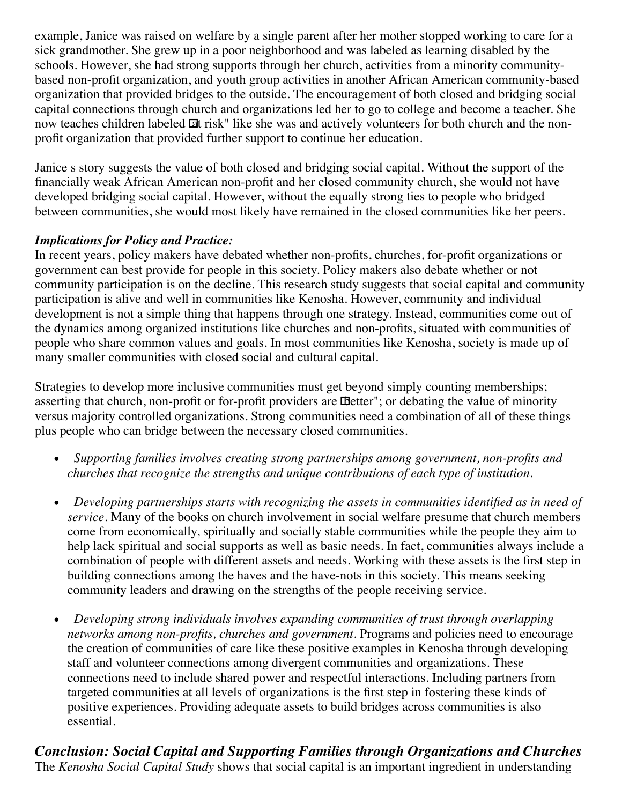example, Janice was raised on welfare by a single parent after her mother stopped working to care for a sick grandmother. She grew up in a poor neighborhood and was labeled as learning disabled by the schools. However, she had strong supports through her church, activities from a minority communitybased non-profit organization, and youth group activities in another African American community-based organization that provided bridges to the outside. The encouragement of both closed and bridging social capital connections through church and organizations led her to go to college and become a teacher. She now teaches children labeled  $\Box t$  risk" like she was and actively volunteers for both church and the nonprofit organization that provided further support to continue her education.

Janice s story suggests the value of both closed and bridging social capital. Without the support of the financially weak African American non-profit and her closed community church, she would not have developed bridging social capital. However, without the equally strong ties to people who bridged between communities, she would most likely have remained in the closed communities like her peers.

## *Implications for Policy and Practice:*

In recent years, policy makers have debated whether non-profits, churches, for-profit organizations or government can best provide for people in this society. Policy makers also debate whether or not community participation is on the decline. This research study suggests that social capital and community participation is alive and well in communities like Kenosha. However, community and individual development is not a simple thing that happens through one strategy. Instead, communities come out of the dynamics among organized institutions like churches and non-profits, situated with communities of people who share common values and goals. In most communities like Kenosha, society is made up of many smaller communities with closed social and cultural capital.

Strategies to develop more inclusive communities must get beyond simply counting memberships; asserting that church, non-profit or for-profit providers are **IDetter**"; or debating the value of minority versus majority controlled organizations. Strong communities need a combination of all of these things plus people who can bridge between the necessary closed communities.

- *Supporting families involves creating strong partnerships among government, non-profits and*  $\bullet$ *churches that recognize the strengths and unique contributions of each type of institution.*
- *Developing partnerships starts with recognizing the assets in communities identified as in need of*  $\bullet$ *service.* Many of the books on church involvement in social welfare presume that church members come from economically, spiritually and socially stable communities while the people they aim to help lack spiritual and social supports as well as basic needs. In fact, communities always include a combination of people with different assets and needs. Working with these assets is the first step in building connections among the haves and the have-nots in this society. This means seeking community leaders and drawing on the strengths of the people receiving service.
- *Developing strong individuals involves expanding communities of trust through overlapping*  $\bullet$ *networks among non-profits, churches and government.* Programs and policies need to encourage the creation of communities of care like these positive examples in Kenosha through developing staff and volunteer connections among divergent communities and organizations. These connections need to include shared power and respectful interactions. Including partners from targeted communities at all levels of organizations is the first step in fostering these kinds of positive experiences. Providing adequate assets to build bridges across communities is also essential.

*Conclusion: Social Capital and Supporting Families through Organizations and Churches* The *Kenosha Social Capital Study* shows that social capital is an important ingredient in understanding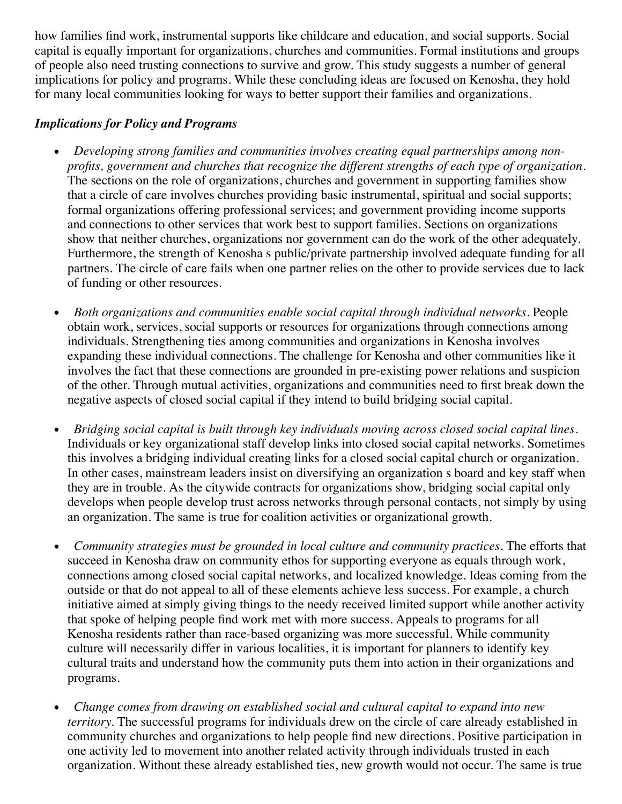how families find work, instrumental supports like childcare and education, and social supports. Social capital is equally important for organizations, churches and communities. Formal institutions and groups of people also need trusting connections to survive and grow. This study suggests a number of general implications for policy and programs. While these concluding ideas are focused on Kenosha, they hold for many local communities looking for ways to better support their families and organizations.

#### *Implications for Policy and Programs*

- *Developing strong families and communities involves creating equal partnerships among non-* $\bullet$ *profits, government and churches that recognize the different strengths of each type of organization.* The sections on the role of organizations, churches and government in supporting families show that a circle of care involves churches providing basic instrumental, spiritual and social supports; formal organizations offering professional services; and government providing income supports and connections to other services that work best to support families. Sections on organizations show that neither churches, organizations nor government can do the work of the other adequately. Furthermore, the strength of Kenosha s public/private partnership involved adequate funding for all partners. The circle of care fails when one partner relies on the other to provide services due to lack of funding or other resources.
- *Both organizations and communities enable social capital through individual networks.* People  $\bullet$ obtain work, services, social supports or resources for organizations through connections among individuals. Strengthening ties among communities and organizations in Kenosha involves expanding these individual connections. The challenge for Kenosha and other communities like it involves the fact that these connections are grounded in pre-existing power relations and suspicion of the other. Through mutual activities, organizations and communities need to first break down the negative aspects of closed social capital if they intend to build bridging social capital.
- $\bullet$ *Bridging social capital is built through key individuals moving across closed social capital lines.* Individuals or key organizational staff develop links into closed social capital networks. Sometimes this involves a bridging individual creating links for a closed social capital church or organization. In other cases, mainstream leaders insist on diversifying an organization s board and key staff when they are in trouble. As the citywide contracts for organizations show, bridging social capital only develops when people develop trust across networks through personal contacts, not simply by using an organization. The same is true for coalition activities or organizational growth.
- *Community strategies must be grounded in local culture and community practices.* The efforts that succeed in Kenosha draw on community ethos for supporting everyone as equals through work, connections among closed social capital networks, and localized knowledge. Ideas coming from the outside or that do not appeal to all of these elements achieve less success. For example, a church initiative aimed at simply giving things to the needy received limited support while another activity that spoke of helping people find work met with more success. Appeals to programs for all Kenosha residents rather than race-based organizing was more successful. While community culture will necessarily differ in various localities, it is important for planners to identify key cultural traits and understand how the community puts them into action in their organizations and programs.
- *Change comes from drawing on established social and cultural capital to expand into new territory.* The successful programs for individuals drew on the circle of care already established in community churches and organizations to help people find new directions. Positive participation in one activity led to movement into another related activity through individuals trusted in each organization. Without these already established ties, new growth would not occur. The same is true